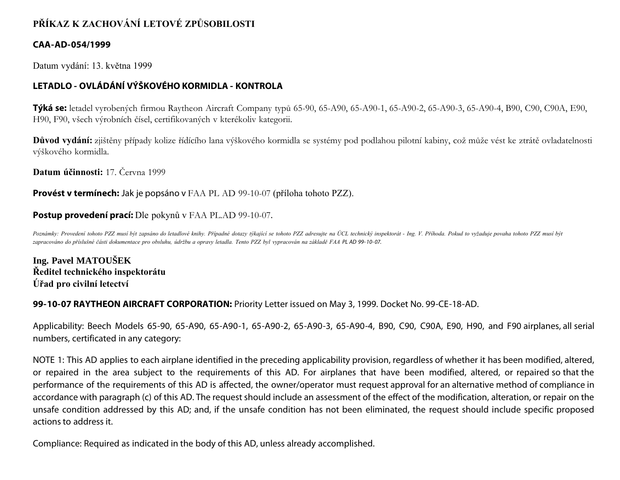# **PŘÍKAZ K ZACHOVÁNÍ LETOVÉ ZPŮSOBILOSTI**

### **CAA-AD-054/1999**

Datum vydání: 13. května 1999

## **LETADLO - OVLÁDÁNÍ VÝŠKOVÉHO KORMIDLA - KONTROLA**

**Týká se:** letadel vyrobených firmou Raytheon Aircraft Company typů 65-90, 65-A90, 65-A90-1, 65-A90-2, 65-A90-3, 65-A90-4, B90, C90, C90A, E90, H90, F90, všech výrobních čísel, certifikovaných v kterékoliv kategorii.

**Důvod vydání:** zjištěny případy kolize řídícího lana výškového kormidla se systémy pod podlahou pilotní kabiny, což může vést ke ztrátě ovladatelnosti výškového kormidla.

**Datum účinnosti:** 17. Června 1999

**Provést v termínech:** Jak je popsáno v FAA PL AD 99-10-07 (příloha tohoto PZZ).

### **Postup provedení prací:** Dle pokynů v FAA PL.AD 99-10-07.

*Poznámky: Provedení tohoto PZZ musí být zapsáno do letadlové knihy. Případné dotazy týkající se tohoto PZZ adresujte na ÚCL technický inspektorát - Ing. V. Příhoda. Pokud to vyžaduje povaha tohoto PZZ musí být zapracováno do příslušné části dokumentace pro obsluhu, údržbu a opravy letadla. Tento PZZ byl vypracován na základě FAA PL AD 99- 10- 07.*

**Ing. Pavel MATOUŠEK Ředitel technického inspektorátu Úřad pro civilní letectví**

#### **99-10-07 RAYTHEON AIRCRAFT CORPORATION:** Priority Letter issued on May 3, 1999. Docket No. 99-CE-18-AD.

Applicability: Beech Models 65-90, 65-A90, 65-A90-1, 65-A90-2, 65-A90-3, 65-A90-4, B90, C90, C90A, E90, H90, and F90 airplanes, all serial numbers, certificated in any category:

NOTE 1: This AD applies to each airplane identified in the preceding applicability provision, regardless of whether it has been modified, altered, or repaired in the area subject to the requirements of this AD. For airplanes that have been modified, altered, or repaired so that the performance of the requirements of this AD is affected, the owner/operator must request approval for an alternative method of compliance in accordance with paragraph (c) of this AD. The request should include an assessment of the effect of the modification, alteration, or repair on the unsafe condition addressed by this AD; and, if the unsafe condition has not been eliminated, the request should include specific proposed actions to address it.

Compliance: Required as indicated in the body of this AD, unless already accomplished.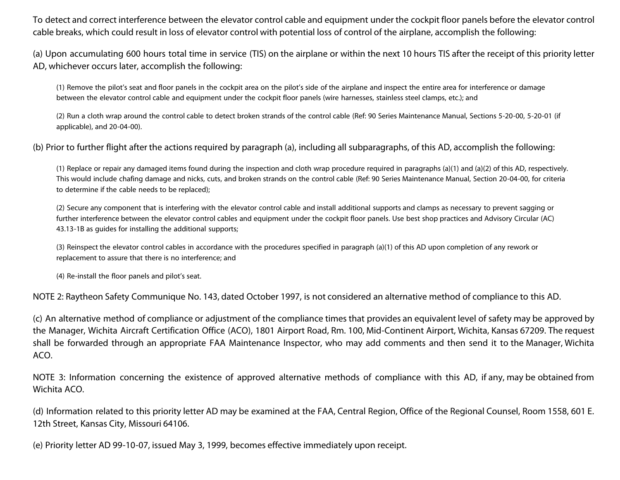To detect and correct interference between the elevator control cable and equipment under the cockpit floor panels before the elevator control cable breaks, which could result in loss of elevator control with potential loss of control of the airplane, accomplish the following:

(a) Upon accumulating 600 hours total time in service (TIS) on the airplane or within the next 10 hours TIS after the receipt of this priority letter AD, whichever occurs later, accomplish the following:

(1) Remove the pilot's seat and floor panels in the cockpit area on the pilot's side of the airplane and inspect the entire area for interference or damage between the elevator control cable and equipment under the cockpit floor panels (wire harnesses, stainless steel clamps, etc.); and

(2) Run a cloth wrap around the control cable to detect broken strands of the control cable (Ref: 90 Series Maintenance Manual, Sections 5-20-00, 5-20-01 (if applicable), and 20-04-00).

(b) Prior to further flight after the actions required by paragraph (a), including all subparagraphs, of this AD, accomplish the following:

(1) Replace or repair any damaged items found during the inspection and cloth wrap procedure required in paragraphs (a)(1) and (a)(2) of this AD, respectively. This would include chafing damage and nicks, cuts, and broken strands on the control cable (Ref: 90 Series Maintenance Manual, Section 20-04-00, for criteria to determine if the cable needs to be replaced);

(2) Secure any component that is interfering with the elevator control cable and install additional supports and clamps as necessary to prevent sagging or further interference between the elevator control cables and equipment under the cockpit floor panels. Use best shop practices and Advisory Circular (AC) 43.13-1B as guides for installing the additional supports;

(3) Reinspect the elevator control cables in accordance with the procedures specified in paragraph (a)(1) of this AD upon completion of any rework or replacement to assure that there is no interference; and

(4) Re-install the floor panels and pilot's seat.

NOTE 2: Raytheon Safety Communique No. 143, dated October 1997, is not considered an alternative method of compliance to this AD.

(c) An alternative method of compliance or adjustment of the compliance times that provides an equivalent level of safety may be approved by the Manager, Wichita Aircraft Certification Office (ACO), 1801 Airport Road, Rm. 100, Mid-Continent Airport, Wichita, Kansas 67209. The request shall be forwarded through an appropriate FAA Maintenance Inspector, who may add comments and then send it to the Manager, Wichita ACO.

NOTE 3: Information concerning the existence of approved alternative methods of compliance with this AD, if any, may be obtained from Wichita ACO.

(d) Information related to this priority letter AD may be examined at the FAA, Central Region, Office of the Regional Counsel, Room 1558, 601 E. 12th Street, Kansas City, Missouri 64106.

(e) Priority letter AD 99-10-07, issued May 3, 1999, becomes effective immediately upon receipt.